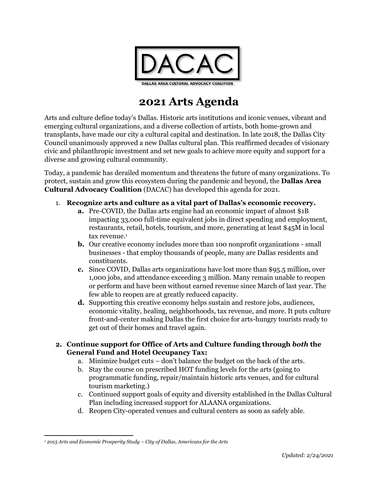

# **2021 Arts Agenda**

Arts and culture define today's Dallas. Historic arts institutions and iconic venues, vibrant and emerging cultural organizations, and a diverse collection of artists, both home-grown and transplants, have made our city a cultural capital and destination. In late 2018, the Dallas City Council unanimously approved a new Dallas cultural plan. This reaffirmed decades of visionary civic and philanthropic investment and set new goals to achieve more equity and support for a diverse and growing cultural community.

Today, a pandemic has derailed momentum and threatens the future of many organizations. To protect, sustain and grow this ecosystem during the pandemic and beyond, the **Dallas Area Cultural Advocacy Coalition** (DACAC) has developed this agenda for 2021.

- 1. **Recognize arts and culture as a vital part of Dallas's economic recovery.** 
	- **a.** Pre-COVID, the Dallas arts engine had an economic impact of almost \$1B impacting 33,000 full-time equivalent jobs in direct spending and employment, restaurants, retail, hotels, tourism, and more, generating at least \$45M in local tax revenue.<sup>1</sup>
	- **b.** Our creative economy includes more than 100 nonprofit organizations small businesses - that employ thousands of people, many are Dallas residents and constituents.
	- **c.** Since COVID, Dallas arts organizations have lost more than \$95.5 million, over 1,000 jobs, and attendance exceeding 3 million. Many remain unable to reopen or perform and have been without earned revenue since March of last year. The few able to reopen are at greatly reduced capacity.
	- **d.** Supporting this creative economy helps sustain and restore jobs, audiences, economic vitality, healing, neighborhoods, tax revenue, and more. It puts culture front-and-center making Dallas the first choice for arts-hungry tourists ready to get out of their homes and travel again.

## **2. Continue support for Office of Arts and Culture funding through** *both* **the General Fund and Hotel Occupancy Tax:**

- a. Minimize budget cuts don't balance the budget on the back of the arts.
- b. Stay the course on prescribed HOT funding levels for the arts (going to programmatic funding, repair/maintain historic arts venues, and for cultural tourism marketing.)
- c. Continued support goals of equity and diversity established in the Dallas Cultural Plan including increased support for ALAANA organizations.
- d. Reopen City-operated venues and cultural centers as soon as safely able.

 $\overline{\phantom{a}}$ *<sup>1</sup> 2015 Arts and Economic Prosperity Study – City of Dallas, Americans for the Arts*